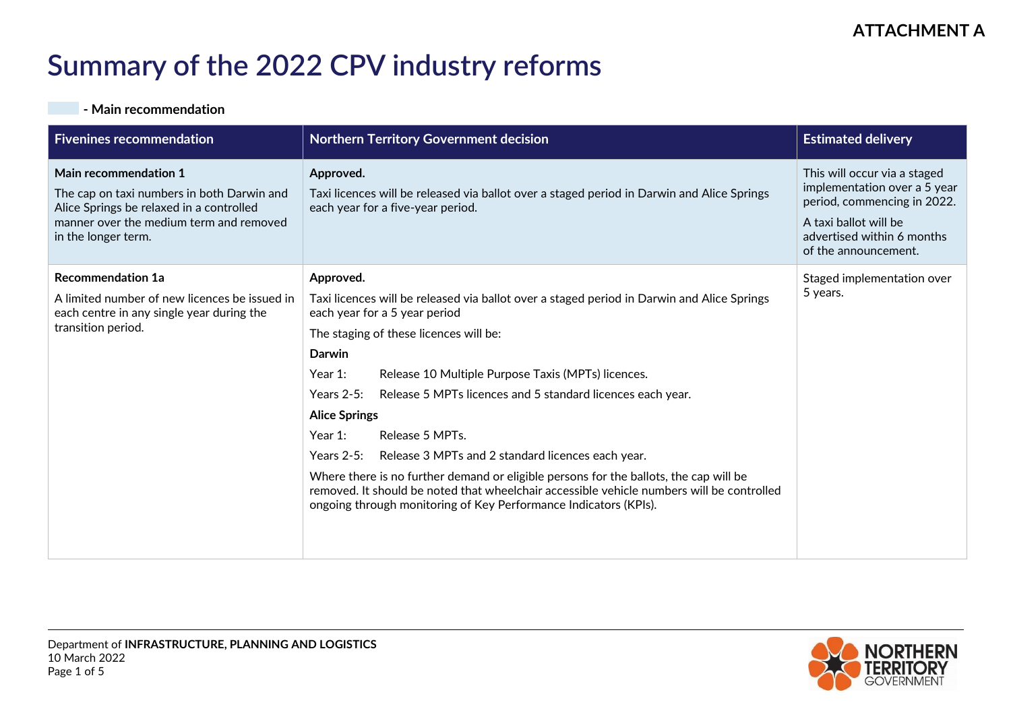## **Summary of the 2022 CPV industry reforms**

## **- Main recommendation**

| <b>Fivenines recommendation</b>                                                                                                                                                   | <b>Northern Territory Government decision</b>                                                                                                                                                                                                          | <b>Estimated delivery</b>                                                                                                                                                  |
|-----------------------------------------------------------------------------------------------------------------------------------------------------------------------------------|--------------------------------------------------------------------------------------------------------------------------------------------------------------------------------------------------------------------------------------------------------|----------------------------------------------------------------------------------------------------------------------------------------------------------------------------|
| Main recommendation 1<br>The cap on taxi numbers in both Darwin and<br>Alice Springs be relaxed in a controlled<br>manner over the medium term and removed<br>in the longer term. | Approved.<br>Taxi licences will be released via ballot over a staged period in Darwin and Alice Springs<br>each year for a five-year period.                                                                                                           | This will occur via a staged<br>implementation over a 5 year<br>period, commencing in 2022.<br>A taxi ballot will be<br>advertised within 6 months<br>of the announcement. |
| <b>Recommendation 1a</b>                                                                                                                                                          | Approved.                                                                                                                                                                                                                                              | Staged implementation over                                                                                                                                                 |
| A limited number of new licences be issued in<br>each centre in any single year during the<br>transition period.                                                                  | Taxi licences will be released via ballot over a staged period in Darwin and Alice Springs<br>each year for a 5 year period                                                                                                                            | 5 years.                                                                                                                                                                   |
|                                                                                                                                                                                   | The staging of these licences will be:                                                                                                                                                                                                                 |                                                                                                                                                                            |
|                                                                                                                                                                                   | <b>Darwin</b>                                                                                                                                                                                                                                          |                                                                                                                                                                            |
|                                                                                                                                                                                   | Release 10 Multiple Purpose Taxis (MPTs) licences.<br>Year $1$ :                                                                                                                                                                                       |                                                                                                                                                                            |
|                                                                                                                                                                                   | Release 5 MPTs licences and 5 standard licences each year.<br>Years $2-5$ :                                                                                                                                                                            |                                                                                                                                                                            |
|                                                                                                                                                                                   | <b>Alice Springs</b>                                                                                                                                                                                                                                   |                                                                                                                                                                            |
|                                                                                                                                                                                   | Release 5 MPTs.<br>Year $1$ :                                                                                                                                                                                                                          |                                                                                                                                                                            |
|                                                                                                                                                                                   | Years $2-5$ :<br>Release 3 MPTs and 2 standard licences each year.                                                                                                                                                                                     |                                                                                                                                                                            |
|                                                                                                                                                                                   | Where there is no further demand or eligible persons for the ballots, the cap will be<br>removed. It should be noted that wheelchair accessible vehicle numbers will be controlled<br>ongoing through monitoring of Key Performance Indicators (KPIs). |                                                                                                                                                                            |

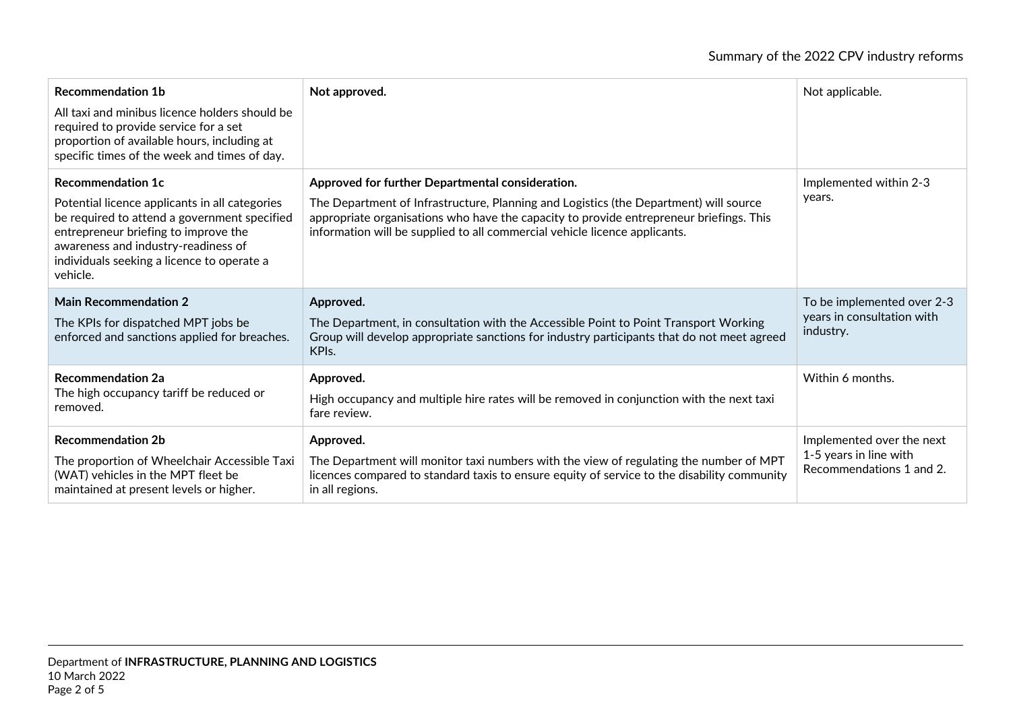| <b>Recommendation 1b</b><br>All taxi and minibus licence holders should be<br>required to provide service for a set<br>proportion of available hours, including at<br>specific times of the week and times of day.                                                  | Not approved.                                                                                                                                                                                                                                                                                                      | Not applicable.                                                       |
|---------------------------------------------------------------------------------------------------------------------------------------------------------------------------------------------------------------------------------------------------------------------|--------------------------------------------------------------------------------------------------------------------------------------------------------------------------------------------------------------------------------------------------------------------------------------------------------------------|-----------------------------------------------------------------------|
| <b>Recommendation 1c</b><br>Potential licence applicants in all categories<br>be required to attend a government specified<br>entrepreneur briefing to improve the<br>awareness and industry-readiness of<br>individuals seeking a licence to operate a<br>vehicle. | Approved for further Departmental consideration.<br>The Department of Infrastructure, Planning and Logistics (the Department) will source<br>appropriate organisations who have the capacity to provide entrepreneur briefings. This<br>information will be supplied to all commercial vehicle licence applicants. | Implemented within 2-3<br>years.                                      |
| <b>Main Recommendation 2</b><br>The KPIs for dispatched MPT jobs be                                                                                                                                                                                                 | Approved.<br>The Department, in consultation with the Accessible Point to Point Transport Working                                                                                                                                                                                                                  | To be implemented over 2-3<br>years in consultation with<br>industry. |
| enforced and sanctions applied for breaches.                                                                                                                                                                                                                        | Group will develop appropriate sanctions for industry participants that do not meet agreed<br>KPI <sub>s</sub> .                                                                                                                                                                                                   |                                                                       |
| <b>Recommendation 2a</b><br>The high occupancy tariff be reduced or<br>removed.                                                                                                                                                                                     | Approved.<br>High occupancy and multiple hire rates will be removed in conjunction with the next taxi<br>fare review.                                                                                                                                                                                              | Within 6 months.                                                      |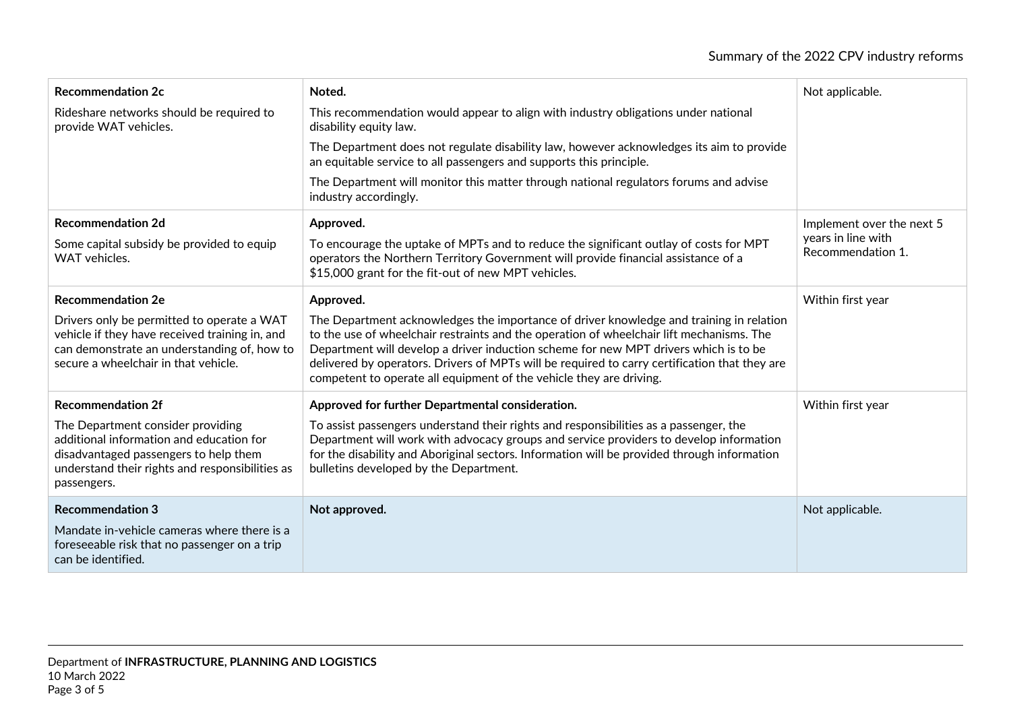| <b>Recommendation 2c</b>                                                                                                                                                                 | Noted.                                                                                                                                                                                                                                                                                                                                                                                                                                              | Not applicable.                         |
|------------------------------------------------------------------------------------------------------------------------------------------------------------------------------------------|-----------------------------------------------------------------------------------------------------------------------------------------------------------------------------------------------------------------------------------------------------------------------------------------------------------------------------------------------------------------------------------------------------------------------------------------------------|-----------------------------------------|
| Rideshare networks should be required to<br>provide WAT vehicles.                                                                                                                        | This recommendation would appear to align with industry obligations under national<br>disability equity law.                                                                                                                                                                                                                                                                                                                                        |                                         |
|                                                                                                                                                                                          | The Department does not regulate disability law, however acknowledges its aim to provide<br>an equitable service to all passengers and supports this principle.                                                                                                                                                                                                                                                                                     |                                         |
|                                                                                                                                                                                          | The Department will monitor this matter through national regulators forums and advise<br>industry accordingly.                                                                                                                                                                                                                                                                                                                                      |                                         |
| <b>Recommendation 2d</b>                                                                                                                                                                 | Approved.                                                                                                                                                                                                                                                                                                                                                                                                                                           | Implement over the next 5               |
| Some capital subsidy be provided to equip<br><b>WAT</b> vehicles.                                                                                                                        | To encourage the uptake of MPTs and to reduce the significant outlay of costs for MPT<br>operators the Northern Territory Government will provide financial assistance of a<br>\$15,000 grant for the fit-out of new MPT vehicles.                                                                                                                                                                                                                  | years in line with<br>Recommendation 1. |
| <b>Recommendation 2e</b>                                                                                                                                                                 | Approved.                                                                                                                                                                                                                                                                                                                                                                                                                                           | Within first year                       |
| Drivers only be permitted to operate a WAT<br>vehicle if they have received training in, and<br>can demonstrate an understanding of, how to<br>secure a wheelchair in that vehicle.      | The Department acknowledges the importance of driver knowledge and training in relation<br>to the use of wheelchair restraints and the operation of wheelchair lift mechanisms. The<br>Department will develop a driver induction scheme for new MPT drivers which is to be<br>delivered by operators. Drivers of MPTs will be required to carry certification that they are<br>competent to operate all equipment of the vehicle they are driving. |                                         |
| <b>Recommendation 2f</b>                                                                                                                                                                 | Approved for further Departmental consideration.                                                                                                                                                                                                                                                                                                                                                                                                    | Within first year                       |
| The Department consider providing<br>additional information and education for<br>disadvantaged passengers to help them<br>understand their rights and responsibilities as<br>passengers. | To assist passengers understand their rights and responsibilities as a passenger, the<br>Department will work with advocacy groups and service providers to develop information<br>for the disability and Aboriginal sectors. Information will be provided through information<br>bulletins developed by the Department.                                                                                                                            |                                         |
| <b>Recommendation 3</b>                                                                                                                                                                  | Not approved.                                                                                                                                                                                                                                                                                                                                                                                                                                       | Not applicable.                         |
| Mandate in-vehicle cameras where there is a<br>foreseeable risk that no passenger on a trip<br>can be identified.                                                                        |                                                                                                                                                                                                                                                                                                                                                                                                                                                     |                                         |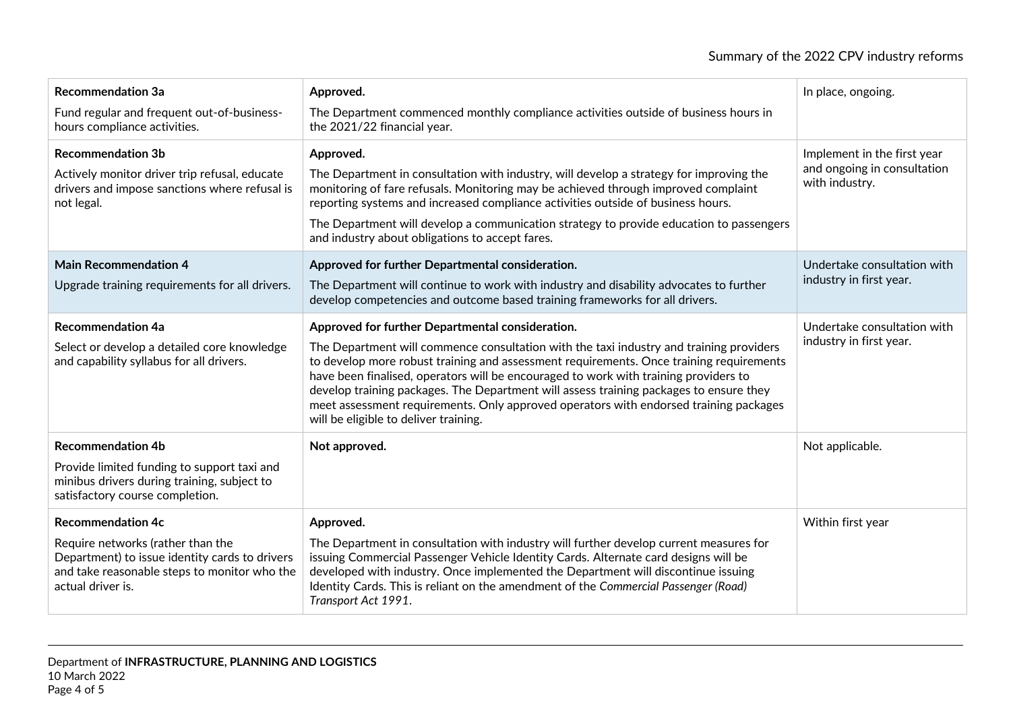| <b>Recommendation 3a</b><br>Fund regular and frequent out-of-business-<br>hours compliance activities.                                                                               | Approved.<br>The Department commenced monthly compliance activities outside of business hours in<br>the 2021/22 financial year.                                                                                                                                                                                                                                                                                                                                                                                                                            | In place, ongoing.                                                           |
|--------------------------------------------------------------------------------------------------------------------------------------------------------------------------------------|------------------------------------------------------------------------------------------------------------------------------------------------------------------------------------------------------------------------------------------------------------------------------------------------------------------------------------------------------------------------------------------------------------------------------------------------------------------------------------------------------------------------------------------------------------|------------------------------------------------------------------------------|
| <b>Recommendation 3b</b><br>Actively monitor driver trip refusal, educate<br>drivers and impose sanctions where refusal is<br>not legal.                                             | Approved.<br>The Department in consultation with industry, will develop a strategy for improving the<br>monitoring of fare refusals. Monitoring may be achieved through improved complaint<br>reporting systems and increased compliance activities outside of business hours.<br>The Department will develop a communication strategy to provide education to passengers<br>and industry about obligations to accept fares.                                                                                                                               | Implement in the first year<br>and ongoing in consultation<br>with industry. |
| <b>Main Recommendation 4</b><br>Upgrade training requirements for all drivers.                                                                                                       | Approved for further Departmental consideration.<br>The Department will continue to work with industry and disability advocates to further<br>develop competencies and outcome based training frameworks for all drivers.                                                                                                                                                                                                                                                                                                                                  | Undertake consultation with<br>industry in first year.                       |
| <b>Recommendation 4a</b><br>Select or develop a detailed core knowledge<br>and capability syllabus for all drivers.                                                                  | Approved for further Departmental consideration.<br>The Department will commence consultation with the taxi industry and training providers<br>to develop more robust training and assessment requirements. Once training requirements<br>have been finalised, operators will be encouraged to work with training providers to<br>develop training packages. The Department will assess training packages to ensure they<br>meet assessment requirements. Only approved operators with endorsed training packages<br>will be eligible to deliver training. | Undertake consultation with<br>industry in first year.                       |
| <b>Recommendation 4b</b><br>Provide limited funding to support taxi and<br>minibus drivers during training, subject to<br>satisfactory course completion.                            | Not approved.                                                                                                                                                                                                                                                                                                                                                                                                                                                                                                                                              | Not applicable.                                                              |
| <b>Recommendation 4c</b><br>Require networks (rather than the<br>Department) to issue identity cards to drivers<br>and take reasonable steps to monitor who the<br>actual driver is. | Approved.<br>The Department in consultation with industry will further develop current measures for<br>issuing Commercial Passenger Vehicle Identity Cards. Alternate card designs will be<br>developed with industry. Once implemented the Department will discontinue issuing<br>Identity Cards. This is reliant on the amendment of the Commercial Passenger (Road)<br>Transport Act 1991.                                                                                                                                                              | Within first year                                                            |